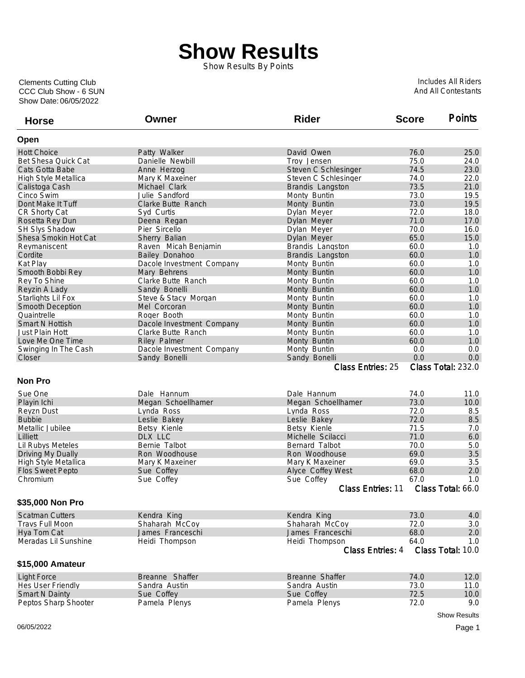## **Show Results**

Show Results By Points

Show Date: 06/05/2022 CCC Club Show - 6 SUN Clements Cutting Club

Includes All Riders And All Contestants

| <b>Horse</b>             | Owner                     | <b>Rider</b>             | <b>Score</b> | <b>Points</b>       |
|--------------------------|---------------------------|--------------------------|--------------|---------------------|
| Open                     |                           |                          |              |                     |
| <b>Hott Choice</b>       | Patty Walker              | David Owen               | 76.0         | 25.0                |
| Bet Shesa Quick Cat      | Danielle Newbill          | Troy Jensen              | 75.0         | 24.0                |
| Cats Gotta Babe          | Anne Herzog               | Steven C Schlesinger     | 74.5         | 23.0                |
| High Style Metallica     | Mary K Maxeiner           | Steven C Schlesinger     | 74.0         | 22.0                |
| Calistoga Cash           | Michael Clark             | Brandis Langston         | 73.5         | 21.0                |
| Cinco Swim               | Julie Sandford            | Monty Buntin             | 73.0         | 19.5                |
| Dont Make It Tuff        | Clarke Butte Ranch        | Monty Buntin             | 73.0         | 19.5                |
| CR Shorty Cat            | Syd Curtis                | Dylan Meyer              | 72.0         | 18.0                |
| Rosetta Rey Dun          | Deena Regan               | Dylan Meyer              | 71.0         | 17.0                |
| SH Slys Shadow           | Pier Sircello             | Dylan Meyer              | 70.0         | 16.0                |
| Shesa Smokin Hot Cat     | Sherry Balian             | Dylan Meyer              | 65.0         | 15.0                |
| Reymaniscent             | Raven Micah Benjamin      | Brandis Langston         | 60.0         | 1.0                 |
| Cordite                  | Bailey Donahoo            | Brandis Langston         | 60.0         | 1.0                 |
| Kat Play                 | Dacole Investment Company | Monty Buntin             | 60.0         | 1.0                 |
| Smooth Bobbi Rey         | Mary Behrens              | Monty Buntin             | 60.0         | 1.0                 |
| Rey To Shine             | Clarke Butte Ranch        | Monty Buntin             | 60.0         | 1.0                 |
| Reyzin A Lady            | Sandy Bonelli             | Monty Buntin             | 60.0         | 1.0                 |
| Starlights Lil Fox       | Steve & Stacy Morgan      | Monty Buntin             | 60.0         | 1.0                 |
| <b>Smooth Deception</b>  | Mel Corcoran              | Monty Buntin             | 60.0         | 1.0                 |
| Quaintrelle              | Roger Booth               | Monty Buntin             | 60.0         | 1.0                 |
| <b>Smart N Hottish</b>   | Dacole Investment Company | Monty Buntin             | 60.0         | 1.0                 |
| Just Plain Hott          | Clarke Butte Ranch        | Monty Buntin             | 60.0         | 1.0                 |
| Love Me One Time         | <b>Riley Palmer</b>       | Monty Buntin             | 60.0         | 1.0                 |
| Swinging In The Cash     | Dacole Investment Company | Monty Buntin             | 0.0          | 0.0                 |
| Closer                   | Sandy Bonelli             | Sandy Bonelli            | 0.0          | 0.0                 |
|                          |                           | <b>Class Entries: 25</b> |              | Class Total: 232.0  |
| <b>Non Pro</b>           |                           |                          |              |                     |
| Sue One                  | Dale Hannum               | Dale Hannum              | 74.0         | 11.0                |
| Playin Ichi              | Megan Schoellhamer        | Megan Schoellhamer       | 73.0         | 10.0                |
| <b>Revzn Dust</b>        | Lynda Ross                | Lynda Ross               | 72.0         | 8.5                 |
| <b>Bubbie</b>            | Leslie Bakey              | Leslie Bakey             | 72.0         | 8.5                 |
| Metallic Jubilee         | Betsy Kienle              | Betsy Kienle             | 71.5         | 7.0                 |
| Lilliett                 | DLX LLC                   | Michelle Scilacci        | 71.0         | 6.0                 |
| <b>Lil Rubys Meteles</b> | Bernie Talbot             | Bernard Talbot           | 70.0         | 5.0                 |
| Driving My Dually        | Ron Woodhouse             | Ron Woodhouse            | 69.0         | 3.5                 |
| High Style Metallica     | Mary K Maxeiner           | Mary K Maxeiner          | 69.0         | 3.5                 |
| <b>Flos Sweet Pepto</b>  | Sue Coffey                | Alyce Coffey West        | 68.0         | 2.0                 |
| Chromium                 | Sue Coffey                | Sue Coffey               | 67.0         | 1.0                 |
|                          |                           | Class Entries: 11        |              | Class Total: 66.0   |
| \$35,000 Non Pro         |                           |                          |              |                     |
| <b>Scatman Cutters</b>   | Kendra King               | Kendra King              | 73.0         | 4.0                 |
| Travs Full Moon          | Shaharah McCoy            | Shaharah McCoy           | 72.0         | 3.0                 |
| Hya Tom Cat              | James Franceschi          | James Franceschi         | 68.0         | 2.0                 |
| Meradas Lil Sunshine     | Heidi Thompson            | Heidi Thompson           | 64.0         | 1.0                 |
|                          |                           | <b>Class Entries: 4</b>  |              | Class Total: 10.0   |
| \$15,000 Amateur         |                           |                          |              |                     |
| <b>Light Force</b>       | Breanne Shaffer           | Breanne Shaffer          | 74.0         | 12.0                |
| Hes User Friendly        | Sandra Austin             | Sandra Austin            | 73.0         | 11.0                |
| <b>Smart N Dainty</b>    | Sue Coffey                | Sue Coffey               | 72.5         | 10.0                |
| Peptos Sharp Shooter     | Pamela Plenys             | Pamela Plenys            | 72.0         | 9.0                 |
|                          |                           |                          |              | <b>Show Results</b> |

06/05/2022 Page 1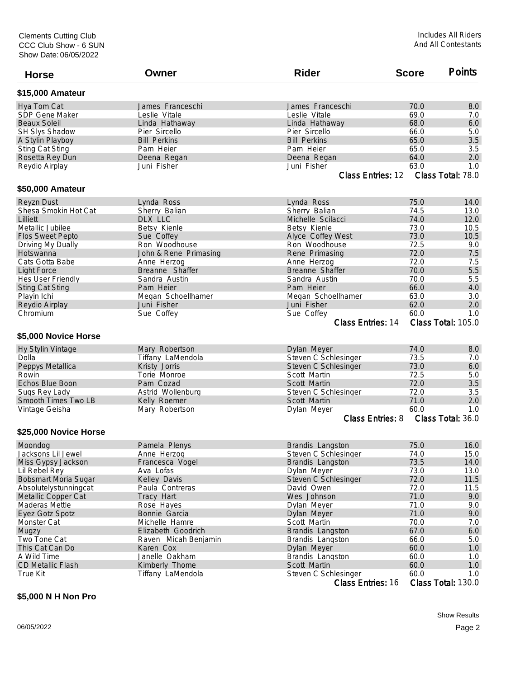| <b>Horse</b>                | Owner                 | <b>Rider</b>             | <b>Score</b> | <b>Points</b>      |
|-----------------------------|-----------------------|--------------------------|--------------|--------------------|
| \$15,000 Amateur            |                       |                          |              |                    |
| Hya Tom Cat                 | James Franceschi      | James Franceschi         | 70.0         | 8.0                |
| <b>SDP Gene Maker</b>       | Leslie Vitale         | Leslie Vitale            | 69.0         | 7.0                |
| <b>Beaux Soleil</b>         | Linda Hathaway        | Linda Hathaway           | 68.0         | 6.0                |
| <b>SH Slys Shadow</b>       | Pier Sircello         | Pier Sircello            | 66.0         | 5.0                |
| A Stylin Playboy            | <b>Bill Perkins</b>   | <b>Bill Perkins</b>      | 65.0         | 3.5                |
| <b>Sting Cat Sting</b>      | Pam Heier             | Pam Heier                | 65.0         | 3.5                |
| Rosetta Rey Dun             | Deena Regan           | Deena Regan              | 64.0         | 2.0                |
| Reydio Airplay              | Juni Fisher           | Juni Fisher              | 63.0         | 1.0                |
|                             |                       | <b>Class Entries: 12</b> |              | Class Total: 78.0  |
| \$50,000 Amateur            |                       |                          |              |                    |
| <b>Reyzn Dust</b>           | Lynda Ross            | Lynda Ross               | 75.0         | 14.0               |
| Shesa Smokin Hot Cat        | Sherry Balian         | Sherry Balian            | 74.5         | 13.0               |
| Lilliett                    | DLX LLC               | Michelle Scilacci        | 74.0         | 12.0               |
| Metallic Jubilee            | Betsy Kienle          | Betsy Kienle             | 73.0         | 10.5               |
| Flos Sweet Pepto            | Sue Coffey            | Alyce Coffey West        | 73.0         | 10.5               |
| Driving My Dually           | Ron Woodhouse         | Ron Woodhouse            | 72.5         | 9.0                |
| Hotswanna                   | John & Rene Primasing | Rene Primasing           | 72.0         | 7.5                |
| Cats Gotta Babe             | Anne Herzog           | Anne Herzog              | 72.0         | 7.5                |
| <b>Light Force</b>          | Breanne Shaffer       | Breanne Shaffer          | 70.0         | 5.5                |
| Hes User Friendly           | Sandra Austin         | Sandra Austin            | 70.0         | 5.5                |
| <b>Sting Cat Sting</b>      | Pam Heier             | Pam Heier                | 66.0         | 4.0                |
| Playin Ichi                 | Megan Schoellhamer    | Megan Schoellhamer       | 63.0         | 3.0                |
| Reydio Airplay              | Juni Fisher           | Juni Fisher              | 62.0         | 2.0                |
| Chromium                    | Sue Coffey            | Sue Coffey               | 60.0         | 1.0                |
|                             |                       | Class Entries: 14        |              | Class Total: 105.0 |
| \$5,000 Novice Horse        |                       |                          |              |                    |
| <b>Hy Stylin Vintage</b>    | Mary Robertson        | Dylan Meyer              | 74.0         | 8.0                |
| Dolla                       | Tiffany LaMendola     | Steven C Schlesinger     | 73.5         | 7.0                |
| Peppys Metallica            | Kristy Jorris         | Steven C Schlesinger     | 73.0         | 6.0                |
| Rowin                       | Torie Monroe          | Scott Martin             | 72.5         | 5.0                |
| Echos Blue Boon             | Pam Cozad             | Scott Martin             | 72.0         | 3.5                |
| Sugs Rey Lady               | Astrid Wollenburg     | Steven C Schlesinger     | 72.0         | 3.5                |
| Smooth Times Two LB         | Kelly Roemer          | Scott Martin             | 71.0         | 2.0                |
| Vintage Geisha              | Mary Robertson        | Dylan Meyer              | 60.0         | 1.0                |
|                             |                       | <b>Class Entries: 8</b>  |              | Class Total: 36.0  |
| \$25,000 Novice Horse       |                       |                          |              |                    |
| Moondog                     | Pamela Plenys         | Brandis Langston         | 75.0         | 16.0               |
| Jacksons Lil Jewel          | Anne Herzog           | Steven C Schlesinger     | 74.0         | 15.0               |
| Miss Gypsy Jackson          | Francesca Vogel       | Brandis Langston         | 73.5         | 14.0               |
| Lil Rebel Rey               | Ava Lofas             | Dylan Meyer              | 73.0         | 13.0               |
| <b>Bobsmart Moria Sugar</b> | Kelley Davis          | Steven C Schlesinger     | 72.0         | 11.5               |
| Absolutelystunningcat       | Paula Contreras       | David Owen               | 72.0         | 11.5               |
| Metallic Copper Cat         | Tracy Hart            | Wes Johnson              | 71.0         | 9.0                |
| Maderas Mettle              | Rose Hayes            | Dylan Meyer              | 71.0         | 9.0                |
| Eyez Gotz Spotz             | Bonnie Garcia         | Dylan Meyer              | 71.0         | 9.0                |
| Monster Cat                 | Michelle Hamre        | Scott Martin             | 70.0         | 7.0                |
| Mugzy                       | Elizabeth Goodrich    | Brandis Langston         | 67.0         | 6.0                |
| Two Tone Cat                | Raven Micah Benjamin  | Brandis Langston         | 66.0         | 5.0                |
| This Cat Can Do             | Karen Cox             | Dylan Meyer              | 60.0         | 1.0                |
| A Wild Time                 | Janelle Oakham        | Brandis Langston         | 60.0         | 1.0                |
| CD Metallic Flash           | Kimberly Thome        | Scott Martin             | 60.0         | 1.0                |
| True Kit                    | Tiffany LaMendola     | Steven C Schlesinger     | 60.0         | 1.0                |

Class Entries: 16 Class Total: 130.0

## **\$5,000 N H Non Pro**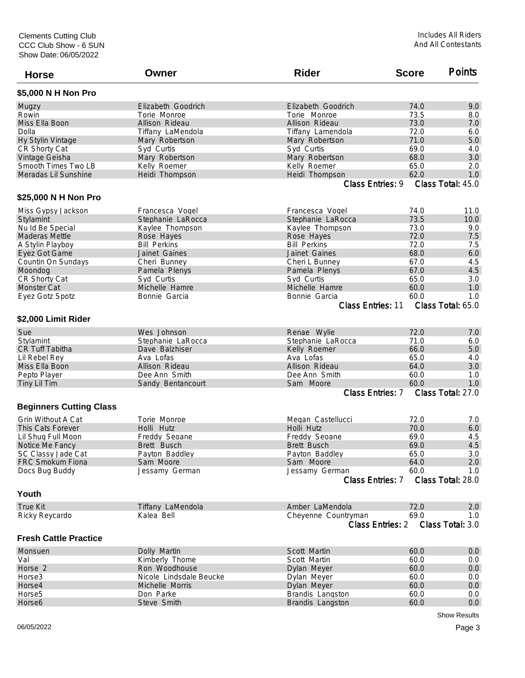| <b>Horse</b>                   | Owner                   | <b>Rider</b>            | <b>Score</b> | <b>Points</b>     |
|--------------------------------|-------------------------|-------------------------|--------------|-------------------|
| \$5,000 N H Non Pro            |                         |                         |              |                   |
| Mugzy                          | Elizabeth Goodrich      | Elizabeth Goodrich      | 74.0         | 9.0               |
| Rowin                          | Torie Monroe            | Torie Monroe            | 73.5         | 8.0               |
| Miss Ella Boon                 | Allison Rideau          | Allison Rideau          | 73.0         | 7.0               |
| Dolla                          | Tiffany LaMendola       | Tiffany Lamendola       | 72.0         | 6.0               |
| Hy Stylin Vintage              | Mary Robertson          | Mary Robertson          | 71.0         | 5.0               |
| CR Shorty Cat                  | Syd Curtis              | Syd Curtis              | 69.0         | 4.0               |
| Vintage Geisha                 | Mary Robertson          | Mary Robertson          | 68.0         | 3.0               |
| Smooth Times Two LB            | Kelly Roemer            | Kelly Roemer            | 65.0         | 2.0               |
| Meradas Lil Sunshine           | Heidi Thompson          | Heidi Thompson          | 62.0         | 1.0               |
|                                |                         | Class Entries: 9        |              | Class Total: 45.0 |
| \$25,000 N H Non Pro           |                         |                         |              |                   |
| Miss Gypsy Jackson             | Francesca Vogel         | Francesca Vogel         | 74.0         | 11.0              |
| Stylamint                      | Stephanie LaRocca       | Stephanie LaRocca       | 73.5         | 10.0              |
| Nu Id Be Special               | Kaylee Thompson         | Kaylee Thompson         | 73.0         | 9.0               |
| <b>Maderas Mettle</b>          | Rose Hayes              | Rose Hayes              | 72.0         | 7.5               |
| A Stylin Playboy               | <b>Bill Perkins</b>     | <b>Bill Perkins</b>     | 72.0         | 7.5               |
| Eyez Got Game                  | Jainet Gaines           | Jainet Gaines           | 68.0         | 6.0               |
| Countin On Sundays             | Cheri Bunney            | Cheri L Bunney          | 67.0         | 4.5               |
| Moondog                        | Pamela Plenys           | Pamela Plenys           | 67.0         | 4.5               |
| CR Shorty Cat                  | Syd Curtis              | Syd Curtis              | 65.0         | 3.0               |
| <b>Monster Cat</b>             | Michelle Hamre          | Michelle Hamre          | 60.0         | 1.0               |
| Eyez Gotz Spotz                | Bonnie Garcia           | Bonnie Garcia           | 60.0         | 1.0               |
|                                |                         | Class Entries: 11       |              | Class Total: 65.0 |
| \$2,000 Limit Rider            |                         |                         |              |                   |
| Sue                            | Wes Johnson             | Renae Wylie             | 72.0         | 7.0               |
| Stylamint                      | Stephanie LaRocca       | Stephanie LaRocca       | 71.0         | 6.0               |
| <b>CR Tuff Tabitha</b>         | Dave Balzhiser          | Kelly Roemer            | 66.0         | 5.0               |
| Lil Rebel Rey                  | Ava Lofas               | Ava Lofas               | 65.0         | 4.0               |
| Miss Ella Boon                 | Allison Rideau          | Allison Rideau          | 64.0         | 3.0               |
| Pepto Player                   | Dee Ann Smith           | Dee Ann Smith           | 60.0         | 1.0               |
| Tiny Lil Tim                   | Sandy Bentancourt       | Sam Moore               | 60.0         | 1.0               |
|                                |                         | Class Entries: 7        |              | Class Total: 27.0 |
| <b>Beginners Cutting Class</b> |                         |                         |              |                   |
| Grin Without A Cat             | Torie Monroe            | Megan Castellucci       | 72.0         | 7.0               |
| This Cats Forever              | Holli Hutz              | Holli Hutz              | 70.0         | 6.0               |
| Lil Shug Full Moon             | Freddy Seoane           | Freddy Seoane           | 69.0         | 4.5               |
| Notice Me Fancy                | Brett Busch             | Brett Busch             | 69.0         | 4.5               |
| SC Classy Jade Cat             | Payton Baddley          | Payton Baddley          | 65.0         | 3.0               |
| FRC Smokum Fiona               | Sam Moore               | Sam Moore               | 64.0         | 2.0               |
| Docs Bug Buddy                 | Jessamy German          | Jessamy German          | 60.0         | 1.0               |
|                                |                         | Class Entries: 7        |              | Class Total: 28.0 |
| Youth                          |                         |                         |              |                   |
| <b>True Kit</b>                | Tiffany LaMendola       | Amber LaMendola         | 72.0         | 2.0               |
| Ricky Reycardo                 | Kalea Bell              | Cheyenne Countryman     | 69.0         | 1.0               |
|                                |                         | <b>Class Entries: 2</b> |              | Class Total: 3.0  |
| <b>Fresh Cattle Practice</b>   |                         |                         |              |                   |
| Monsuen                        | Dolly Martin            | Scott Martin            | 60.0         | 0.0               |
| Val                            | Kimberly Thome          | Scott Martin            | 60.0         | 0.0               |
| Horse 2                        | Ron Woodhouse           | Dylan Meyer             | 60.0         | $0.0\,$           |
| Horse <sub>3</sub>             | Nicole Lindsdale Beucke | Dylan Meyer             | 60.0         | 0.0               |
| Horse4                         | Michelle Morris         | Dylan Meyer             | 60.0         | 0.0               |
| Horse <sub>5</sub>             | Don Parke               | Brandis Langston        | 60.0         | 0.0               |
| Horse6                         | Steve Smith             | Brandis Langston        | 60.0         | 0.0               |